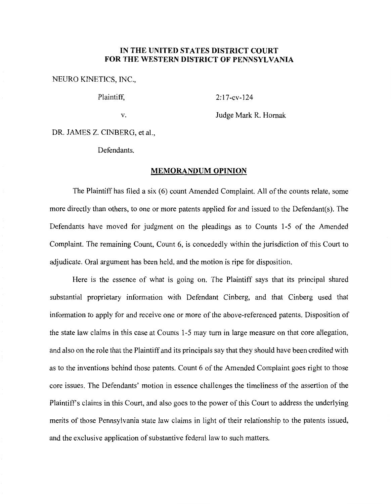## **IN THE UNITED STATES DISTRICT COURT FOR THE WESTERN DISTRICT OF PENNSYLVANIA**

## NEURO KINETICS, INC.,

Plaintiff, 2:17-cv-124

v. Judge Mark R. Hornak

DR. JAMES Z. CINBERG, et al.,

Defendants.

## **MEMORANDUM OPINION**

The Plaintiff has filed a six (6) count Amended Complaint. All of the counts relate, some more directly than others, to one or more patents applied for and issued to the Defendant(s). The Defendants have moved for judgment on the pleadings as to Counts 1-5 of the Amended Complaint. The remaining Count, Count 6, is concededly within the jurisdiction of this Court to adjudicate. Oral argument has been held, and the motion is ripe for disposition.

Here is the essence of what is going on. The Plaintiff says that its principal shared substantial proprietary information with Defendant Cinberg, and that Cinberg used that information to apply for and receive one or more of the above-referenced patents. Disposition of the state law claims in this case at Counts 1-5 may turn in large measure on that core allegation, and also on the role that the Plaintiff and its principals say that they should have been credited with as to the inventions behind those patents. Count 6 of the Amended Complaint goes right to those core issues. The Defendants' motion in essence challenges the timeliness of the assertion of the Plaintiff's claims in this Court, and also goes to the power of this Court to address the underlying merits of those Pennsylvania state law claims in light of their relationship to the patents issued, and the exclusive application of substantive federal law to such matters.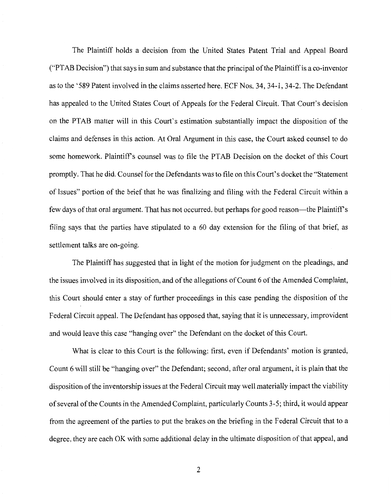The Plaintiff holds a decision from the United States Patent Trial and Appeal Board ("PTAB Decision") that says in sum and substance that the principal of the Plaintiff is a co-inventor as to the '589 Patent involved in the claims asserted here. ECF Nos. 34, 34-1, 34-2. The Defendant has appealed to the United States Court of Appeals for the Federal Circuit. That Court's decision on the PT AB matter will in this Court's estimation substantially impact the disposition of the claims and defenses in this action. At Oral Argument in this case, the Court asked counsel to do some homework. Plaintiffs counsel was to file the PT AB Decision on the docket of this Court promptly. That he did. Counsel for the Defendants was to file on this Court's docket the "Statement of Issues" portion of the brief that he was finalizing and filing with the Federal Circuit within a few days of that oral argument. That has not occurred, but perhaps for good reason—the Plaintiff's filing says that the parties have stipulated to a 60 day extension for the filing of that brief, as settlement talks are on-going.

The Plaintiff has suggested that in light of the motion for judgment on the pleadings, and the issues involved in its disposition, and of the allegations of Count 6 of the Amended Complaint, this Court should enter a stay of further proceedings in this case pending the disposition of the Federal Circuit appeal. The Defendant has opposed that, saying that it is unnecessary, improvident and would leave this case "hanging over" the Defendant on the docket of this Court.

What is clear to this Court is the following: first, even if Defendants' motion is granted, Count 6 will still be "hanging over" the Defendant; second, after oral argument, it is plain that the disposition of the inventorship issues at the Federal Circuit may well materially impact the viability of several of the Counts in the Amended Complaint, particularly Counts 3-5; third, it would appear from the agreement of the parties to put the brakes on the briefing in the Federal Circuit that to a degree, they are each OK with some additional delay in the ultimate disposition of that appeal, and